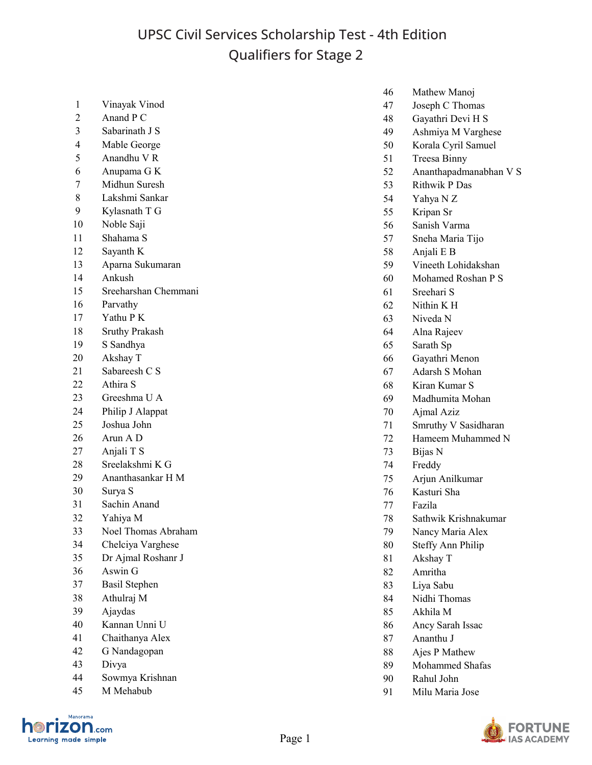## UPSC Civil Services Scholarship Test - 4th Edition Qualifiers for Stage 2

| Vinayak Vinod |  |
|---------------|--|
|               |  |

- Anand P C
- Sabarinath J S
- Mable George
- Anandhu V R
- Anupama G K
- Midhun Suresh
- Lakshmi Sankar
- Kylasnath T G
- Noble Saji
- Shahama S
- Sayanth K
- Aparna Sukumaran
- Ankush
- Sreeharshan Chemmani
- Parvathy
- Yathu P K
- Sruthy Prakash
- S Sandhya
- Akshay T
- Sabareesh C S
- Athira S
- Greeshma U A
- Philip J Alappat
- Joshua John
- Arun A D
- Anjali T S
- Sreelakshmi K G
- Ananthasankar H M
- Surya S
- Sachin Anand
- Yahiya M
- Noel Thomas Abraham
- Chelciya Varghese
- Dr Ajmal Roshanr J
- Aswin G
- Basil Stephen
- Athulraj M
- Ajaydas
- Kannan Unni U
- Chaithanya Alex
- G Nandagopan
- Divya
- Sowmya Krishnan
- M Mehabub



- Mathew Manoj
- Joseph C Thomas
- Gayathri Devi H S
- Ashmiya M Varghese
- Korala Cyril Samuel
- Treesa Binny
- Ananthapadmanabhan V S
- Rithwik P Das
- Yahya N Z
- Kripan Sr
- Sanish Varma
- Sneha Maria Tijo
- Anjali E B
- Vineeth Lohidakshan
- Mohamed Roshan P S
- Sreehari S
- Nithin K H
- Niveda N
- Alna Rajeev
- Sarath Sp
- Gayathri Menon
- Adarsh S Mohan
- Kiran Kumar S
- Madhumita Mohan
- Ajmal Aziz
- Smruthy V Sasidharan
- Hameem Muhammed N
- Bijas N
- Freddy
- Arjun Anilkumar
- Kasturi Sha
- Fazila
- Sathwik Krishnakumar
- Nancy Maria Alex
- Steffy Ann Philip
- Akshay T
- Amritha
- Liya Sabu
- Nidhi Thomas
- Akhila M
- Ancy Sarah Issac
- Ananthu J
- Ajes P Mathew
- Mohammed Shafas
- Rahul John
- Milu Maria Jose

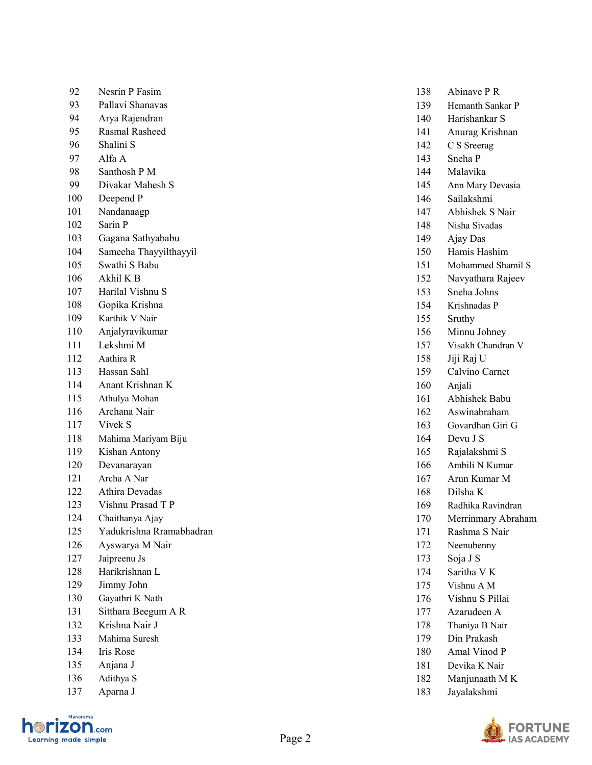| 92  | Nesrin P Fasim           | 138 | Abinave P R        |
|-----|--------------------------|-----|--------------------|
| 93  | Pallavi Shanavas         | 139 | Hemanth Sankar P   |
| 94  | Arya Rajendran           | 140 | Harishankar S      |
| 95  | Rasmal Rasheed           | 141 | Anurag Krishnan    |
| 96  | Shalini S                | 142 | C S Sreerag        |
| 97  | Alfa A                   | 143 | Sneha P            |
| 98  | Santhosh P M             | 144 | Malavika           |
| 99  | Divakar Mahesh S         | 145 | Ann Mary Devasia   |
| 100 | Deepend P                | 146 | Sailakshmi         |
| 101 | Nandanaagp               | 147 | Abhishek S Nair    |
| 102 | Sarin P                  | 148 | Nisha Sivadas      |
| 103 | Gagana Sathyababu        | 149 | Ajay Das           |
| 104 | Sameeha Thayyilthayyil   | 150 | Hamis Hashim       |
| 105 | Swathi S Babu            | 151 | Mohammed Shamil S  |
| 106 | Akhil K B                | 152 | Navyathara Rajeev  |
| 107 | Harilal Vishnu S         | 153 | Sneha Johns        |
| 108 | Gopika Krishna           | 154 | Krishnadas P       |
| 109 | Karthik V Nair           | 155 | Sruthy             |
| 110 | Anjalyravikumar          | 156 | Minnu Johney       |
| 111 | Lekshmi M                | 157 | Visakh Chandran V  |
| 112 | Aathira R                | 158 | Jiji Raj U         |
| 113 | Hassan Sahl              | 159 | Calvino Carnet     |
| 114 | Anant Krishnan K         | 160 | Anjali             |
| 115 | Athulya Mohan            | 161 | Abhishek Babu      |
| 116 | Archana Nair             | 162 | Aswinabraham       |
| 117 | Vivek S                  | 163 | Govardhan Giri G   |
| 118 | Mahima Mariyam Biju      | 164 | Devu J S           |
| 119 | Kishan Antony            | 165 | Rajalakshmi S      |
| 120 | Devanarayan              | 166 | Ambili N Kumar     |
| 121 | Archa A Nar              | 167 | Arun Kumar M       |
| 122 | Athira Devadas           | 168 | Dilsha K           |
| 123 | Vishnu Prasad T P        | 169 | Radhika Ravindran  |
| 124 | Chaithanya Ajay          | 170 | Merrinmary Abraham |
| 125 | Yadukrishna Rramabhadran | 171 | Rashma S Nair      |
| 126 | Ayswarya M Nair          | 172 | Neenubenny         |
| 127 | Jaipreenu Js             | 173 | Soja J S           |
| 128 | Harikrishnan L           | 174 | Saritha V $\rm K$  |
| 129 | Jimmy John               | 175 | Vishnu A M         |
| 130 | Gayathri K Nath          | 176 | Vishnu S Pillai    |
| 131 | Sitthara Beegum A R      | 177 | Azarudeen A        |
| 132 | Krishna Nair J           | 178 | Thaniya B Nair     |
| 133 | Mahima Suresh            | 179 | Din Prakash        |
| 134 | Iris Rose                | 180 | Amal Vinod P       |
| 135 | Anjana J                 | 181 | Devika K Nair      |
| 136 | Adithya S                | 182 | Manjunaath M K     |
| 137 | Aparna J                 | 183 | Jayalakshmi        |
|     |                          |     |                    |